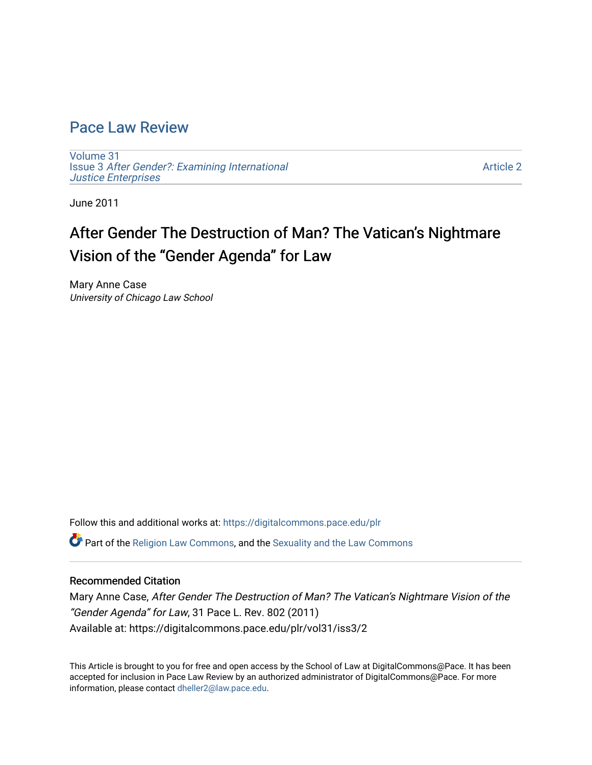### [Pace Law Review](https://digitalcommons.pace.edu/plr)

[Volume 31](https://digitalcommons.pace.edu/plr/vol31) Issue 3 [After Gender?: Examining International](https://digitalcommons.pace.edu/plr/vol31/iss3)  [Justice Enterprises](https://digitalcommons.pace.edu/plr/vol31/iss3) 

[Article 2](https://digitalcommons.pace.edu/plr/vol31/iss3/2) 

June 2011

# After Gender The Destruction of Man? The Vatican's Nightmare Vision of the "Gender Agenda" for Law

Mary Anne Case University of Chicago Law School

Follow this and additional works at: [https://digitalcommons.pace.edu/plr](https://digitalcommons.pace.edu/plr?utm_source=digitalcommons.pace.edu%2Fplr%2Fvol31%2Fiss3%2F2&utm_medium=PDF&utm_campaign=PDFCoverPages)

Part of the [Religion Law Commons](http://network.bepress.com/hgg/discipline/872?utm_source=digitalcommons.pace.edu%2Fplr%2Fvol31%2Fiss3%2F2&utm_medium=PDF&utm_campaign=PDFCoverPages), and the [Sexuality and the Law Commons](http://network.bepress.com/hgg/discipline/877?utm_source=digitalcommons.pace.edu%2Fplr%2Fvol31%2Fiss3%2F2&utm_medium=PDF&utm_campaign=PDFCoverPages)

#### Recommended Citation

Mary Anne Case, After Gender The Destruction of Man? The Vatican's Nightmare Vision of the "Gender Agenda" for Law, 31 Pace L. Rev. 802 (2011) Available at: https://digitalcommons.pace.edu/plr/vol31/iss3/2

This Article is brought to you for free and open access by the School of Law at DigitalCommons@Pace. It has been accepted for inclusion in Pace Law Review by an authorized administrator of DigitalCommons@Pace. For more information, please contact [dheller2@law.pace.edu.](mailto:dheller2@law.pace.edu)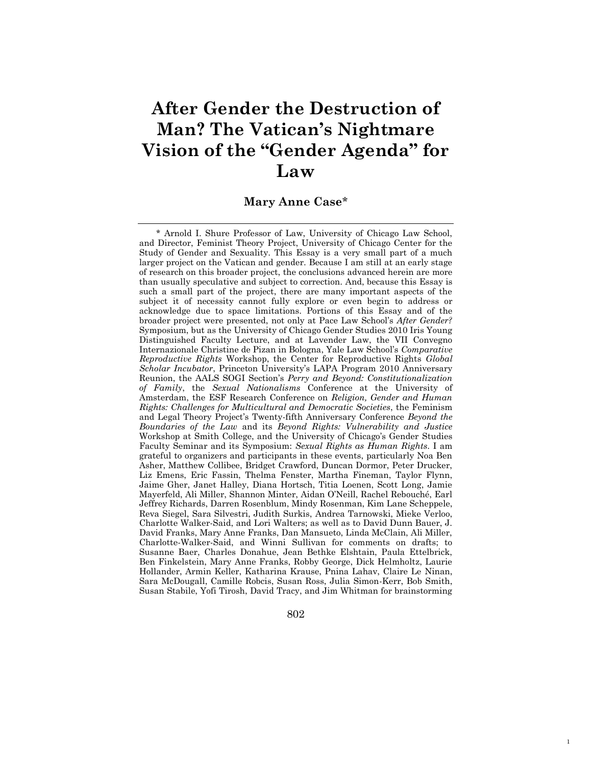# **After Gender the Destruction of Man? The Vatican's Nightmare Vision of the "Gender Agenda" for Law**

### **Mary Anne Case**\*

 \* Arnold I. Shure Professor of Law, University of Chicago Law School, and Director, Feminist Theory Project, University of Chicago Center for the Study of Gender and Sexuality. This Essay is a very small part of a much larger project on the Vatican and gender. Because I am still at an early stage of research on this broader project, the conclusions advanced herein are more than usually speculative and subject to correction. And, because this Essay is such a small part of the project, there are many important aspects of the subject it of necessity cannot fully explore or even begin to address or acknowledge due to space limitations. Portions of this Essay and of the broader project were presented, not only at Pace Law School's *After Gender?* Symposium, but as the University of Chicago Gender Studies 2010 Iris Young Distinguished Faculty Lecture, and at Lavender Law, the VII Convegno Internazionale Christine de Pizan in Bologna, Yale Law School's *Comparative Reproductive Rights* Workshop, the Center for Reproductive Rights *Global Scholar Incubator*, Princeton University's LAPA Program 2010 Anniversary Reunion, the AALS SOGI Section's *Perry and Beyond: Constitutionalization of Family*, the *Sexual Nationalisms* Conference at the University of Amsterdam, the ESF Research Conference on *Religion, Gender and Human Rights: Challenges for Multicultural and Democratic Societies*, the Feminism and Legal Theory Project's Twenty-fifth Anniversary Conference *Beyond the Boundaries of the Law* and its *Beyond Rights: Vulnerability and Justice*  Workshop at Smith College, and the University of Chicago's Gender Studies Faculty Seminar and its Symposium: *Sexual Rights as Human Rights*. I am grateful to organizers and participants in these events, particularly Noa Ben Asher, Matthew Collibee, Bridget Crawford, Duncan Dormor, Peter Drucker, Liz Emens, Eric Fassin, Thelma Fenster, Martha Fineman, Taylor Flynn, Jaime Gher, Janet Halley, Diana Hortsch, Titia Loenen, Scott Long, Jamie Mayerfeld, Ali Miller, Shannon Minter, Aidan O'Neill, Rachel Rebouché, Earl Jeffrey Richards, Darren Rosenblum, Mindy Rosenman, Kim Lane Scheppele, Reva Siegel, Sara Silvestri, Judith Surkis, Andrea Tarnowski, Mieke Verloo, Charlotte Walker-Said, and Lori Walters; as well as to David Dunn Bauer, J. David Franks, Mary Anne Franks, Dan Mansueto, Linda McClain, Ali Miller, Charlotte-Walker-Said, and Winni Sullivan for comments on drafts; to Susanne Baer, Charles Donahue, Jean Bethke Elshtain, Paula Ettelbrick, Ben Finkelstein, Mary Anne Franks, Robby George, Dick Helmholtz, Laurie Hollander, Armin Keller, Katharina Krause, Pnina Lahav, Claire Le Ninan, Sara McDougall, Camille Robcis, Susan Ross, Julia Simon-Kerr, Bob Smith, Susan Stabile, Yofi Tirosh, David Tracy, and Jim Whitman for brainstorming

802

1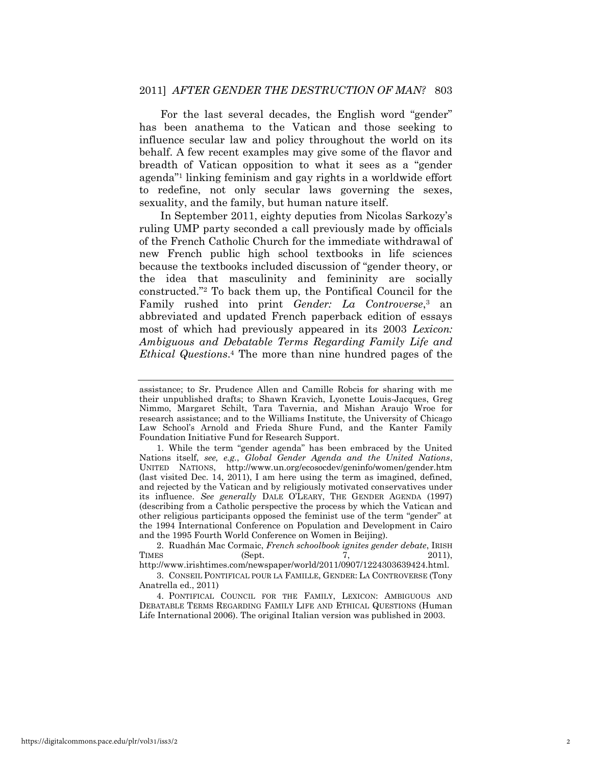For the last several decades, the English word "gender" has been anathema to the Vatican and those seeking to influence secular law and policy throughout the world on its behalf. A few recent examples may give some of the flavor and breadth of Vatican opposition to what it sees as a "gender" agenda"<sup>1</sup> linking feminism and gay rights in a worldwide effort to redefine, not only secular laws governing the sexes, sexuality, and the family, but human nature itself.

In September 2011, eighty deputies from Nicolas Sarkozy's ruling UMP party seconded a call previously made by officials of the French Catholic Church for the immediate withdrawal of new French public high school textbooks in life sciences because the textbooks included discussion of "gender theory, or the idea that masculinity and femininity are socially constructed."<sup>2</sup> To back them up, the Pontifical Council for the Family rushed into print *Gender: La Controverse*,<sup>3</sup> an abbreviated and updated French paperback edition of essays most of which had previously appeared in its 2003 *Lexicon: Ambiguous and Debatable Terms Regarding Family Life and Ethical Questions*. 4 The more than nine hundred pages of the

3. CONSEIL PONTIFICAL POUR LA FAMILLE, GENDER: LA CONTROVERSE (Tony Anatrella ed., 2011)

4. PONTIFICAL COUNCIL FOR THE FAMILY, LEXICON: AMBIGUOUS AND DEBATABLE TERMS REGARDING FAMILY LIFE AND ETHICAL QUESTIONS (Human Life International 2006). The original Italian version was published in 2003.

assistance; to Sr. Prudence Allen and Camille Robcis for sharing with me their unpublished drafts; to Shawn Kravich, Lyonette Louis-Jacques, Greg Nimmo, Margaret Schilt, Tara Tavernia, and Mishan Araujo Wroe for research assistance; and to the Williams Institute, the University of Chicago Law School's Arnold and Frieda Shure Fund, and the Kanter Family Foundation Initiative Fund for Research Support.

<sup>1.</sup> While the term "gender agenda" has been embraced by the United Nations itself, *see, e.g.*, *Global Gender Agenda and the United Nations*, UNITED NATIONS, http://www.un.org/ecosocdev/geninfo/women/gender.htm (last visited Dec. 14, 2011), I am here using the term as imagined, defined, and rejected by the Vatican and by religiously motivated conservatives under its influence. *See generally* DALE O'LEARY, THE GENDER AGENDA (1997) (describing from a Catholic perspective the process by which the Vatican and other religious participants opposed the feminist use of the term "gender" at the 1994 International Conference on Population and Development in Cairo and the 1995 Fourth World Conference on Women in Beijing).

<sup>2.</sup> Ruadhán Mac Cormaic, *French schoolbook ignites gender debate*, IRISH TIMES (Sept. 7, 2011), http://www.irishtimes.com/newspaper/world/2011/0907/1224303639424.html.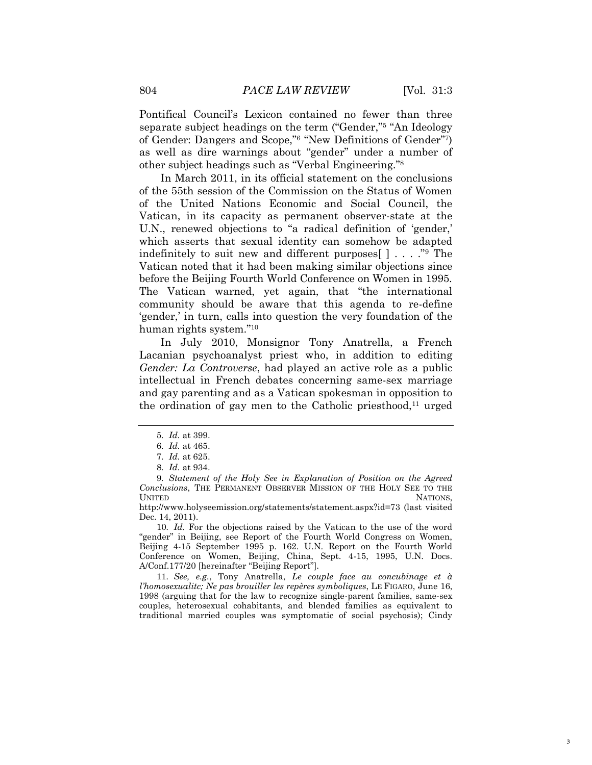Pontifical Council's Lexicon contained no fewer than three separate subject headings on the term ("Gender,"<sup>5</sup> "An Ideology of Gender: Dangers and Scope,"<sup>6</sup> "New Definitions of Gender"7) as well as dire warnings about "gender" under a number of other subject headings such as "Verbal Engineering."<sup>8</sup>

In March 2011, in its official statement on the conclusions of the 55th session of the Commission on the Status of Women of the United Nations Economic and Social Council, the Vatican, in its capacity as permanent observer-state at the U.N., renewed objections to "a radical definition of 'gender,' which asserts that sexual identity can somehow be adapted indefinitely to suit new and different purposes  $[ \cdot, \cdot, \cdot, \cdot]$ <sup>9</sup> The Vatican noted that it had been making similar objections since before the Beijing Fourth World Conference on Women in 1995. The Vatican warned, yet again, that "the international community should be aware that this agenda to re-define ‗gender,' in turn, calls into question the very foundation of the human rights system."<sup>10</sup>

In July 2010, Monsignor Tony Anatrella, a French Lacanian psychoanalyst priest who, in addition to editing *Gender: La Controverse*, had played an active role as a public intellectual in French debates concerning same-sex marriage and gay parenting and as a Vatican spokesman in opposition to the ordination of gay men to the Catholic priesthood,<sup>11</sup> urged

10*. Id.* For the objections raised by the Vatican to the use of the word "gender" in Beijing, see Report of the Fourth World Congress on Women, Beijing 4-15 September 1995 p. 162. U.N. Report on the Fourth World Conference on Women, Beijing, China, Sept. 4-15, 1995, U.N. Docs. A/Conf.177/20 [hereinafter "Beijing Report"].

11*. See, e.g.*, Tony Anatrella, *Le couple face au concubinage et à l"homosexualitc; Ne pas brouiller les repères symboliques*, LE FIGARO, June 16, 1998 (arguing that for the law to recognize single-parent families, same-sex couples, heterosexual cohabitants, and blended families as equivalent to traditional married couples was symptomatic of social psychosis); Cindy

<sup>5</sup>*. Id.* at 399.

<sup>6</sup>*. Id.* at 465.

<sup>7</sup>*. Id.* at 625.

<sup>8</sup>*. Id.* at 934.

<sup>9</sup>*. Statement of the Holy See in Explanation of Position on the Agreed Conclusions*, THE PERMANENT OBSERVER MISSION OF THE HOLY SEE TO THE UNITED NATIONS,

http://www.holyseemission.org/statements/statement.aspx?id=73 (last visited Dec. 14, 2011).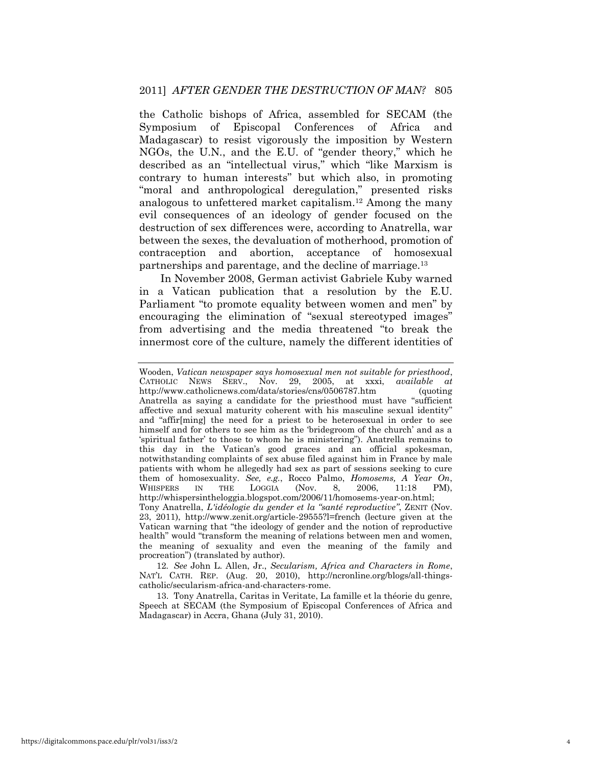the Catholic bishops of Africa, assembled for SECAM (the Symposium of Episcopal Conferences of Africa and Madagascar) to resist vigorously the imposition by Western NGOs, the U.N., and the E.U. of "gender theory," which he described as an "intellectual virus," which "like Marxism is contrary to human interests" but which also, in promoting "moral and anthropological deregulation," presented risks analogous to unfettered market capitalism.12 Among the many evil consequences of an ideology of gender focused on the destruction of sex differences were, according to Anatrella, war between the sexes, the devaluation of motherhood, promotion of contraception and abortion, acceptance of homosexual partnerships and parentage, and the decline of marriage.<sup>13</sup>

In November 2008, German activist Gabriele Kuby warned in a Vatican publication that a resolution by the E.U. Parliament "to promote equality between women and men" by encouraging the elimination of "sexual stereotyped images" from advertising and the media threatened "to break the innermost core of the culture, namely the different identities of

procreation") (translated by author). 12*. See* John L. Allen, Jr., *Secularism, Africa and Characters in Rome*, NAT'L CATH. REP. (Aug. 20, 2010), http://ncronline.org/blogs/all-thingscatholic/secularism-africa-and-characters-rome.

13. Tony Anatrella, Caritas in Veritate, La famille et la théorie du genre, Speech at SECAM (the Symposium of Episcopal Conferences of Africa and Madagascar) in Accra, Ghana (July 31, 2010).

Wooden, *Vatican newspaper says homosexual men not suitable for priesthood*, CATHOLIC NEWS SERV., Nov. 29, 2005, at xxxi, *available at* http://www.catholicnews.com/data/stories/cns/0506787.htm (quoting Anatrella as saying a candidate for the priesthood must have "sufficient affective and sexual maturity coherent with his masculine sexual identity" and "affir $[ming]$  the need for a priest to be heterosexual in order to see himself and for others to see him as the 'bridegroom of the church' and as a 'spiritual father' to those to whom he is ministering"). Anatrella remains to this day in the Vatican's good graces and an official spokesman, notwithstanding complaints of sex abuse filed against him in France by male patients with whom he allegedly had sex as part of sessions seeking to cure them of homosexuality. *See, e.g.*, Rocco Palmo, *Homosems, A Year On*, WHISPERS IN THE LOGGIA (Nov. 8, 2006, 11:18 PM), http://whispersintheloggia.blogspot.com/2006/11/homosems-year-on.html; Tony Anatrella, *L'idéologie du gender et la "santé reproductive"*, ZENIT (Nov. 23, 2011), http://www.zenit.org/article-29555?l=french (lecture given at the Vatican warning that "the ideology of gender and the notion of reproductive health" would "transform the meaning of relations between men and women, the meaning of sexuality and even the meaning of the family and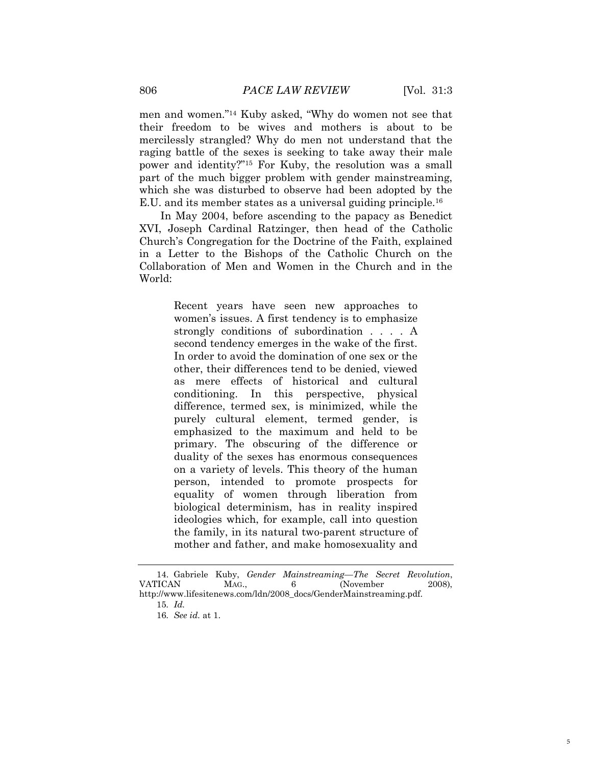men and women."<sup>14</sup> Kuby asked, "Why do women not see that their freedom to be wives and mothers is about to be mercilessly strangled? Why do men not understand that the raging battle of the sexes is seeking to take away their male power and identity?"<sup>15</sup> For Kuby, the resolution was a small part of the much bigger problem with gender mainstreaming, which she was disturbed to observe had been adopted by the E.U. and its member states as a universal guiding principle.<sup>16</sup>

In May 2004, before ascending to the papacy as Benedict XVI, Joseph Cardinal Ratzinger, then head of the Catholic Church's Congregation for the Doctrine of the Faith, explained in a Letter to the Bishops of the Catholic Church on the Collaboration of Men and Women in the Church and in the World:

> Recent years have seen new approaches to women's issues. A first tendency is to emphasize strongly conditions of subordination . . . . A second tendency emerges in the wake of the first. In order to avoid the domination of one sex or the other, their differences tend to be denied, viewed as mere effects of historical and cultural conditioning. In this perspective, physical difference, termed sex, is minimized, while the purely cultural element, termed gender, is emphasized to the maximum and held to be primary. The obscuring of the difference or duality of the sexes has enormous consequences on a variety of levels. This theory of the human person, intended to promote prospects for equality of women through liberation from biological determinism, has in reality inspired ideologies which, for example, call into question the family, in its natural two-parent structure of mother and father, and make homosexuality and

<sup>14.</sup> Gabriele Kuby, *Gender Mainstreaming—The Secret Revolution*, VATICAN MAG., 6 (November 2008), http://www.lifesitenews.com/ldn/2008\_docs/GenderMainstreaming.pdf.

<sup>15</sup>*. Id.*

<sup>16</sup>*. See id.* at 1.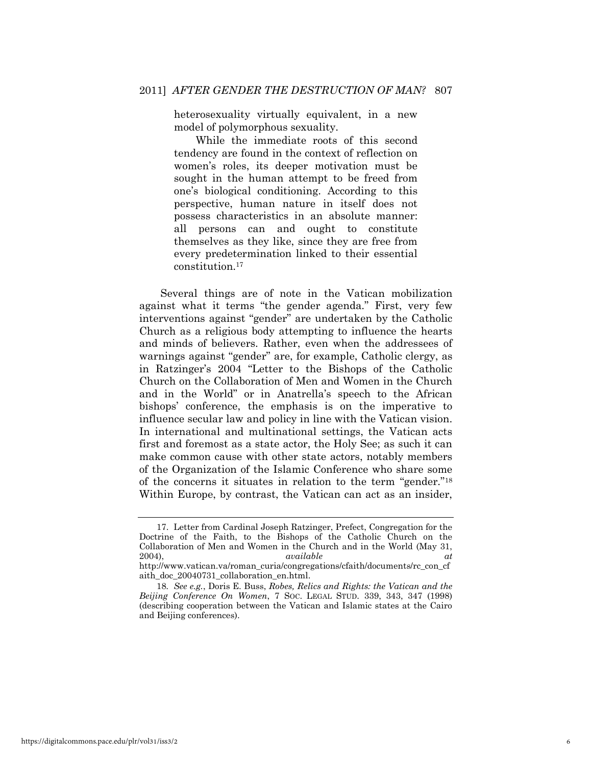heterosexuality virtually equivalent, in a new model of polymorphous sexuality.

While the immediate roots of this second tendency are found in the context of reflection on women's roles, its deeper motivation must be sought in the human attempt to be freed from one's biological conditioning. According to this perspective, human nature in itself does not possess characteristics in an absolute manner: all persons can and ought to constitute themselves as they like, since they are free from every predetermination linked to their essential constitution.<sup>17</sup>

Several things are of note in the Vatican mobilization against what it terms "the gender agenda." First, very few interventions against "gender" are undertaken by the Catholic Church as a religious body attempting to influence the hearts and minds of believers. Rather, even when the addressees of warnings against "gender" are, for example, Catholic clergy, as in Ratzinger's 2004 "Letter to the Bishops of the Catholic Church on the Collaboration of Men and Women in the Church and in the World" or in Anatrella's speech to the African bishops' conference, the emphasis is on the imperative to influence secular law and policy in line with the Vatican vision. In international and multinational settings, the Vatican acts first and foremost as a state actor, the Holy See; as such it can make common cause with other state actors, notably members of the Organization of the Islamic Conference who share some of the concerns it situates in relation to the term "gender."<sup>18</sup> Within Europe, by contrast, the Vatican can act as an insider,

<sup>17.</sup> Letter from Cardinal Joseph Ratzinger, Prefect, Congregation for the Doctrine of the Faith, to the Bishops of the Catholic Church on the Collaboration of Men and Women in the Church and in the World (May 31, 2004), *available at* 

http://www.vatican.va/roman\_curia/congregations/cfaith/documents/rc\_con\_cf aith\_doc\_20040731\_collaboration\_en.html.

<sup>18</sup>*. See e.g.*, Doris E. Buss, *Robes, Relics and Rights: the Vatican and the Beijing Conference On Women*, 7 SOC. LEGAL STUD. 339, 343, 347 (1998) (describing cooperation between the Vatican and Islamic states at the Cairo and Beijing conferences).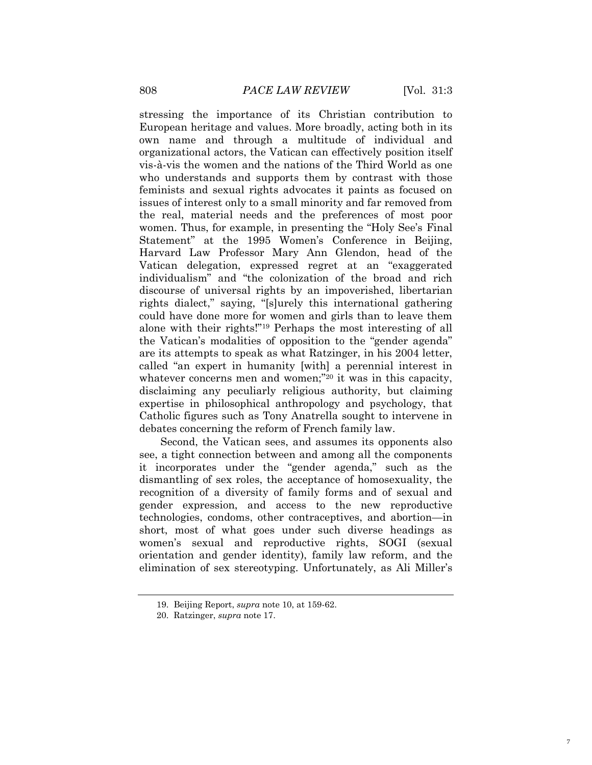stressing the importance of its Christian contribution to European heritage and values. More broadly, acting both in its own name and through a multitude of individual and organizational actors, the Vatican can effectively position itself vis-à-vis the women and the nations of the Third World as one who understands and supports them by contrast with those feminists and sexual rights advocates it paints as focused on issues of interest only to a small minority and far removed from the real, material needs and the preferences of most poor women. Thus, for example, in presenting the "Holy See's Final Statement" at the 1995 Women's Conference in Beijing, Harvard Law Professor Mary Ann Glendon, head of the Vatican delegation, expressed regret at an "exaggerated individualism" and "the colonization of the broad and rich discourse of universal rights by an impoverished, libertarian rights dialect," saying, "[s]urely this international gathering could have done more for women and girls than to leave them alone with their rights!"<sup>19</sup> Perhaps the most interesting of all the Vatican's modalities of opposition to the "gender agenda" are its attempts to speak as what Ratzinger, in his 2004 letter, called "an expert in humanity [with] a perennial interest in whatever concerns men and women; $"^{20}$  it was in this capacity, disclaiming any peculiarly religious authority, but claiming expertise in philosophical anthropology and psychology, that Catholic figures such as Tony Anatrella sought to intervene in debates concerning the reform of French family law.

Second, the Vatican sees, and assumes its opponents also see, a tight connection between and among all the components it incorporates under the "gender agenda," such as the dismantling of sex roles, the acceptance of homosexuality, the recognition of a diversity of family forms and of sexual and gender expression, and access to the new reproductive technologies, condoms, other contraceptives, and abortion—in short, most of what goes under such diverse headings as women's sexual and reproductive rights, SOGI (sexual orientation and gender identity), family law reform, and the elimination of sex stereotyping. Unfortunately, as Ali Miller's

<sup>19.</sup> Beijing Report, *supra* note 10, at 159-62.

<sup>20.</sup> Ratzinger, *supra* note 17.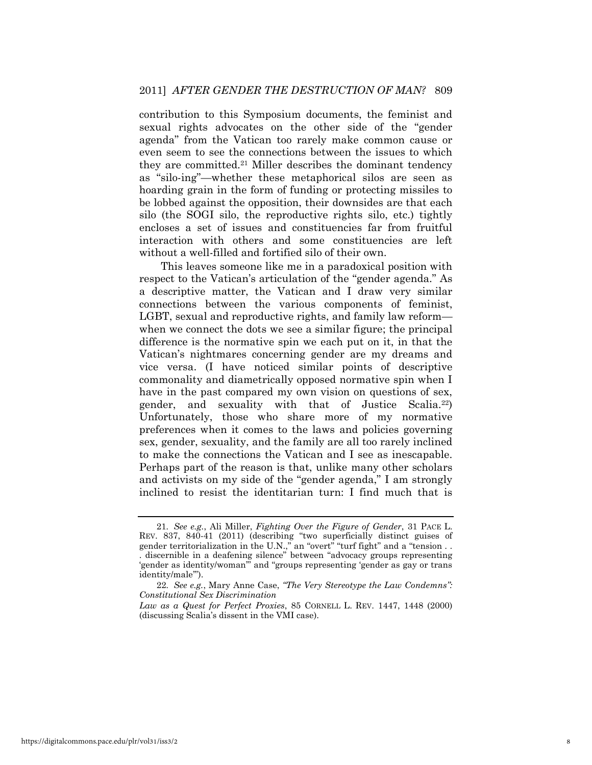contribution to this Symposium documents, the feminist and sexual rights advocates on the other side of the "gender agenda" from the Vatican too rarely make common cause or even seem to see the connections between the issues to which they are committed.21 Miller describes the dominant tendency as "silo-ing"—whether these metaphorical silos are seen as hoarding grain in the form of funding or protecting missiles to be lobbed against the opposition, their downsides are that each silo (the SOGI silo, the reproductive rights silo, etc.) tightly encloses a set of issues and constituencies far from fruitful interaction with others and some constituencies are left without a well-filled and fortified silo of their own.

This leaves someone like me in a paradoxical position with respect to the Vatican's articulation of the "gender agenda." As a descriptive matter, the Vatican and I draw very similar connections between the various components of feminist, LGBT, sexual and reproductive rights, and family law reform when we connect the dots we see a similar figure; the principal difference is the normative spin we each put on it, in that the Vatican's nightmares concerning gender are my dreams and vice versa. (I have noticed similar points of descriptive commonality and diametrically opposed normative spin when I have in the past compared my own vision on questions of sex, gender, and sexuality with that of Justice Scalia.22) Unfortunately, those who share more of my normative preferences when it comes to the laws and policies governing sex, gender, sexuality, and the family are all too rarely inclined to make the connections the Vatican and I see as inescapable. Perhaps part of the reason is that, unlike many other scholars and activists on my side of the "gender agenda," I am strongly inclined to resist the identitarian turn: I find much that is

<sup>21</sup>*. See e.g.*, Ali Miller, *Fighting Over the Figure of Gender*, 31 PACE L. REV. 837, 840-41 (2011) (describing "two superficially distinct guises of gender territorialization in the U.N.," an "overt" "turf fight" and a "tension  $\dots$ . discernible in a deafening silence" between "advocacy groups representing ‗gender as identity/woman'‖ and ―groups representing ‗gender as gay or trans identity/male").

<sup>22</sup>*. See e.g.*, Mary Anne Case, *"The Very Stereotype the Law Condemns": Constitutional Sex Discrimination*

*Law as a Quest for Perfect Proxies*, 85 CORNELL L. REV. 1447, 1448 (2000) (discussing Scalia's dissent in the VMI case).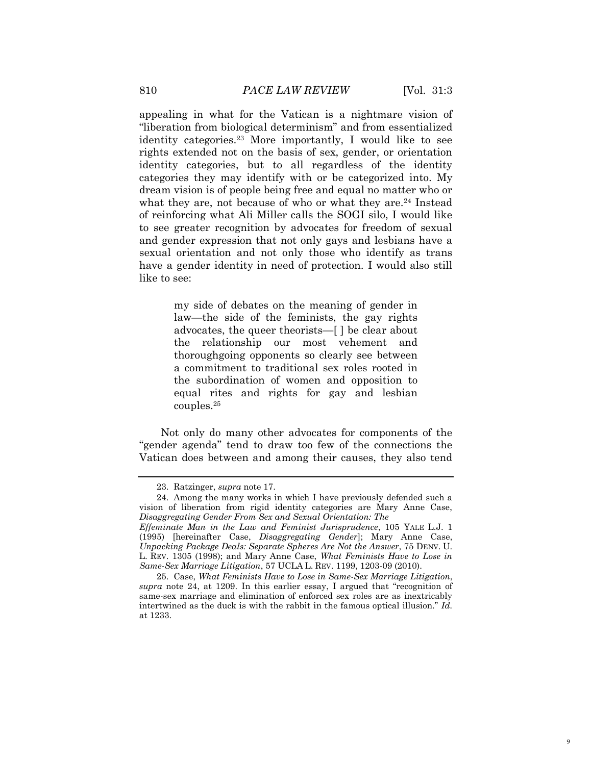appealing in what for the Vatican is a nightmare vision of "liberation from biological determinism" and from essentialized identity categories.23 More importantly, I would like to see rights extended not on the basis of sex, gender, or orientation identity categories, but to all regardless of the identity categories they may identify with or be categorized into. My dream vision is of people being free and equal no matter who or what they are, not because of who or what they are.<sup>24</sup> Instead of reinforcing what Ali Miller calls the SOGI silo, I would like to see greater recognition by advocates for freedom of sexual and gender expression that not only gays and lesbians have a sexual orientation and not only those who identify as trans have a gender identity in need of protection. I would also still like to see:

> my side of debates on the meaning of gender in law—the side of the feminists, the gay rights advocates, the queer theorists—[ ] be clear about the relationship our most vehement and thoroughgoing opponents so clearly see between a commitment to traditional sex roles rooted in the subordination of women and opposition to equal rites and rights for gay and lesbian couples.<sup>25</sup>

Not only do many other advocates for components of the ―gender agenda‖ tend to draw too few of the connections the Vatican does between and among their causes, they also tend

<sup>23.</sup> Ratzinger, *supra* note 17.

<sup>24.</sup> Among the many works in which I have previously defended such a vision of liberation from rigid identity categories are Mary Anne Case, *Disaggregating Gender From Sex and Sexual Orientation: The* 

*Effeminate Man in the Law and Feminist Jurisprudence*, 105 YALE L.J. 1 (1995) [hereinafter Case, *Disaggregating Gender*]; Mary Anne Case, *Unpacking Package Deals: Separate Spheres Are Not the Answer*, 75 DENV. U. L. REV. 1305 (1998); and Mary Anne Case, *What Feminists Have to Lose in Same-Sex Marriage Litigation*, 57 UCLA L. REV. 1199, 1203-09 (2010).

<sup>25.</sup> Case, *What Feminists Have to Lose in Same-Sex Marriage Litigation*, *supra* note 24, at 1209. In this earlier essay, I argued that "recognition of same-sex marriage and elimination of enforced sex roles are as inextricably intertwined as the duck is with the rabbit in the famous optical illusion." Id. at 1233.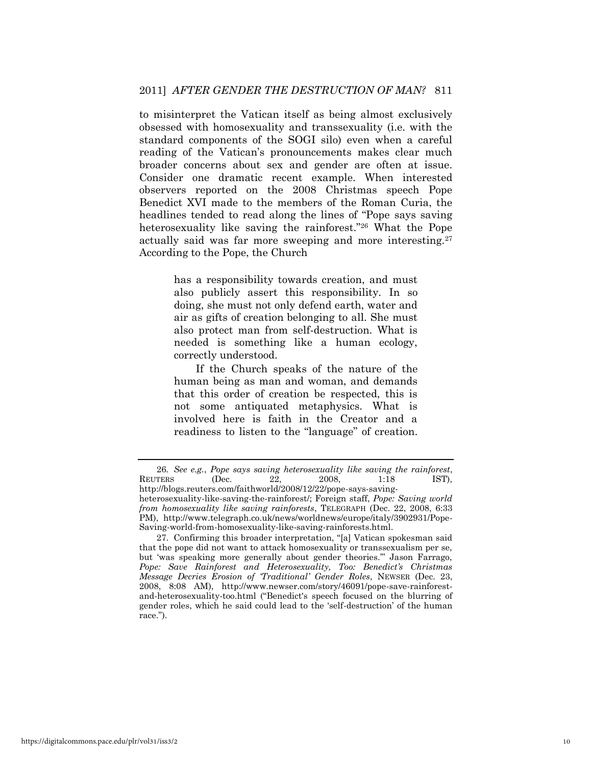to misinterpret the Vatican itself as being almost exclusively obsessed with homosexuality and transsexuality (i.e. with the standard components of the SOGI silo) even when a careful reading of the Vatican's pronouncements makes clear much broader concerns about sex and gender are often at issue. Consider one dramatic recent example. When interested observers reported on the 2008 Christmas speech Pope Benedict XVI made to the members of the Roman Curia, the headlines tended to read along the lines of "Pope says saving" heterosexuality like saving the rainforest."<sup>26</sup> What the Pope actually said was far more sweeping and more interesting.<sup>27</sup> According to the Pope, the Church

> has a responsibility towards creation, and must also publicly assert this responsibility. In so doing, she must not only defend earth, water and air as gifts of creation belonging to all. She must also protect man from self-destruction. What is needed is something like a human ecology, correctly understood.

> If the Church speaks of the nature of the human being as man and woman, and demands that this order of creation be respected, this is not some antiquated metaphysics. What is involved here is faith in the Creator and a readiness to listen to the "language" of creation.

<sup>26</sup>*. See e.g.*, *Pope says saving heterosexuality like saving the rainforest*, REUTERS (Dec. 22, 2008, 1:18 IST), http://blogs.reuters.com/faithworld/2008/12/22/pope-says-savingheterosexuality-like-saving-the-rainforest/; Foreign staff, *Pope: Saving world from homosexuality like saving rainforests*, TELEGRAPH (Dec. 22, 2008, 6:33 PM), http://www.telegraph.co.uk/news/worldnews/europe/italy/3902931/Pope-Saving-world-from-homosexuality-like-saving-rainforests.html.

<sup>27.</sup> Confirming this broader interpretation, "[a] Vatican spokesman said that the pope did not want to attack homosexuality or transsexualism per se, but 'was speaking more generally about gender theories." Jason Farrago, Pope: Save Rainforest and Heterosexuality, Too: Benedict's Christmas *Message Decries Erosion of "Traditional" Gender Roles*, NEWSER (Dec. 23, 2008, 8:08 AM), http://www.newser.com/story/46091/pope-save-rainforestand-heterosexuality-too.html ("Benedict's speech focused on the blurring of gender roles, which he said could lead to the 'self-destruction' of the human race.").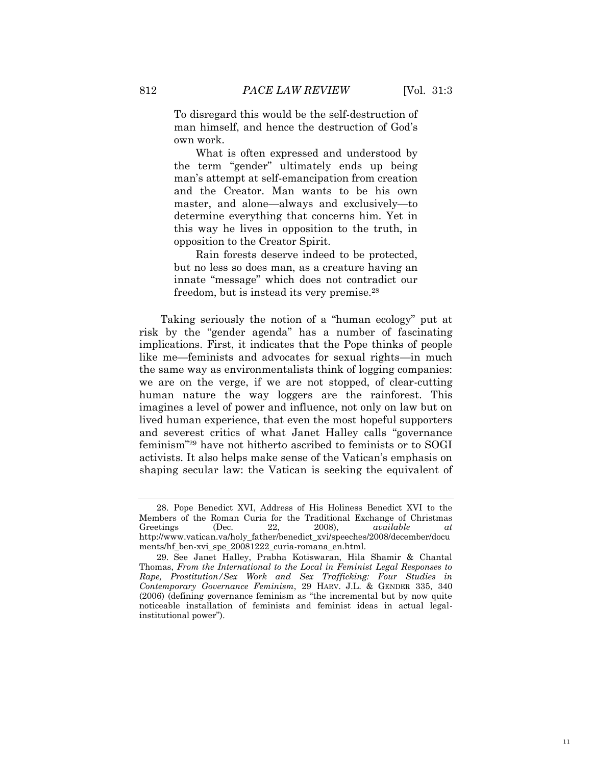To disregard this would be the self-destruction of man himself, and hence the destruction of God's own work.

What is often expressed and understood by the term "gender" ultimately ends up being man's attempt at self-emancipation from creation and the Creator. Man wants to be his own master, and alone—always and exclusively—to determine everything that concerns him. Yet in this way he lives in opposition to the truth, in opposition to the Creator Spirit.

Rain forests deserve indeed to be protected, but no less so does man, as a creature having an innate "message" which does not contradict our freedom, but is instead its very premise.<sup>28</sup>

Taking seriously the notion of a "human ecology" put at risk by the "gender agenda" has a number of fascinating implications. First, it indicates that the Pope thinks of people like me—feminists and advocates for sexual rights—in much the same way as environmentalists think of logging companies: we are on the verge, if we are not stopped, of clear-cutting human nature the way loggers are the rainforest. This imagines a level of power and influence, not only on law but on lived human experience, that even the most hopeful supporters and severest critics of what Janet Halley calls "governance" feminism<sup>"29</sup> have not hitherto ascribed to feminists or to SOGI activists. It also helps make sense of the Vatican's emphasis on shaping secular law: the Vatican is seeking the equivalent of

<sup>28.</sup> Pope Benedict XVI, Address of His Holiness Benedict XVI to the Members of the Roman Curia for the Traditional Exchange of Christmas Greetings (Dec. 22, 2008), *available at* http://www.vatican.va/holy\_father/benedict\_xvi/speeches/2008/december/docu ments/hf\_ben-xvi\_spe\_20081222\_curia-romana\_en.html.

<sup>29.</sup> See Janet Halley, Prabha Kotiswaran, Hila Shamir & Chantal Thomas, *From the International to the Local in Feminist Legal Responses to Rape, Prostitution/Sex Work and Sex Trafficking: Four Studies in Contemporary Governance Feminism*, 29 HARV. J.L. & GENDER 335, 340  $(2006)$  (defining governance feminism as "the incremental but by now quite noticeable installation of feminists and feminist ideas in actual legalinstitutional power").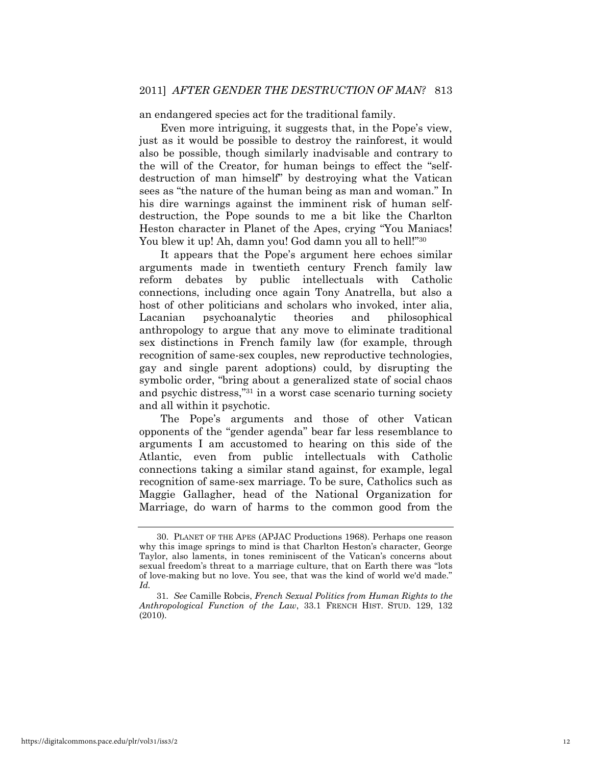an endangered species act for the traditional family.

Even more intriguing, it suggests that, in the Pope's view, just as it would be possible to destroy the rainforest, it would also be possible, though similarly inadvisable and contrary to the will of the Creator, for human beings to effect the "selfdestruction of man himself" by destroying what the Vatican sees as "the nature of the human being as man and woman." In his dire warnings against the imminent risk of human selfdestruction, the Pope sounds to me a bit like the Charlton Heston character in Planet of the Apes, crying "You Maniacs! You blew it up! Ah, damn you! God damn you all to hell!"<sup>30</sup>

It appears that the Pope's argument here echoes similar arguments made in twentieth century French family law reform debates by public intellectuals with Catholic connections, including once again Tony Anatrella, but also a host of other politicians and scholars who invoked, inter alia, Lacanian psychoanalytic theories and philosophical anthropology to argue that any move to eliminate traditional sex distinctions in French family law (for example, through recognition of same-sex couples, new reproductive technologies, gay and single parent adoptions) could, by disrupting the symbolic order, "bring about a generalized state of social chaos" and psychic distress,"<sup>31</sup> in a worst case scenario turning society and all within it psychotic.

The Pope's arguments and those of other Vatican opponents of the ―gender agenda‖ bear far less resemblance to arguments I am accustomed to hearing on this side of the Atlantic, even from public intellectuals with Catholic connections taking a similar stand against, for example, legal recognition of same-sex marriage. To be sure, Catholics such as Maggie Gallagher, head of the National Organization for Marriage, do warn of harms to the common good from the

<sup>30.</sup> PLANET OF THE APES (APJAC Productions 1968). Perhaps one reason why this image springs to mind is that Charlton Heston's character, George Taylor, also laments, in tones reminiscent of the Vatican's concerns about sexual freedom's threat to a marriage culture, that on Earth there was "lots" of love-making but no love. You see, that was the kind of world we'd made." *Id.*

<sup>31</sup>*. See* Camille Robcis, *French Sexual Politics from Human Rights to the Anthropological Function of the Law*, 33.1 FRENCH HIST. STUD. 129, 132 (2010).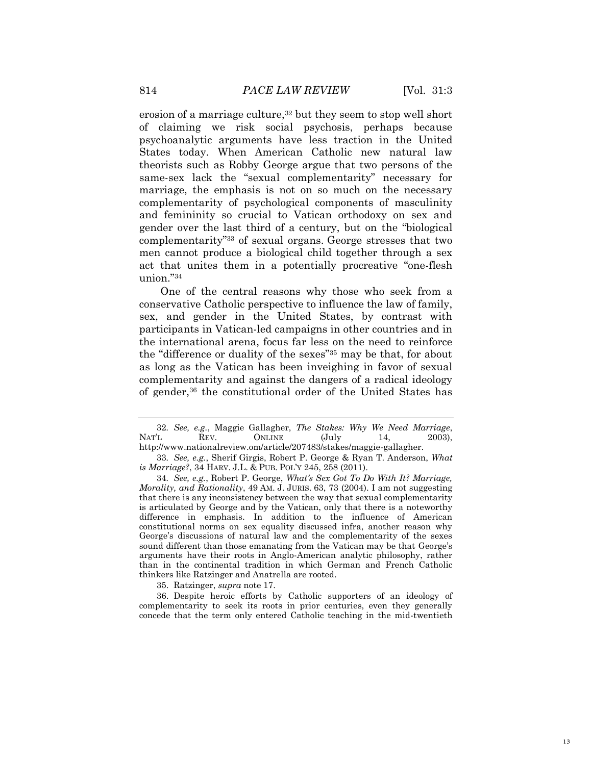erosion of a marriage culture,<sup>32</sup> but they seem to stop well short of claiming we risk social psychosis, perhaps because psychoanalytic arguments have less traction in the United States today. When American Catholic new natural law theorists such as Robby George argue that two persons of the same-sex lack the "sexual complementarity" necessary for marriage, the emphasis is not on so much on the necessary complementarity of psychological components of masculinity and femininity so crucial to Vatican orthodoxy on sex and gender over the last third of a century, but on the "biological complementarity<sup>33</sup> of sexual organs. George stresses that two men cannot produce a biological child together through a sex act that unites them in a potentially procreative "one-flesh" union."34

One of the central reasons why those who seek from a conservative Catholic perspective to influence the law of family, sex, and gender in the United States, by contrast with participants in Vatican-led campaigns in other countries and in the international arena, focus far less on the need to reinforce the "difference or duality of the sexes"<sup>35</sup> may be that, for about as long as the Vatican has been inveighing in favor of sexual complementarity and against the dangers of a radical ideology of gender,36 the constitutional order of the United States has

35. Ratzinger, *supra* note 17.

36. Despite heroic efforts by Catholic supporters of an ideology of complementarity to seek its roots in prior centuries, even they generally concede that the term only entered Catholic teaching in the mid-twentieth

<sup>32</sup>*. See, e.g.*, Maggie Gallagher, *The Stakes: Why We Need Marriage*, NAT'L REV. ONLINE (July 14, 2003), http://www.nationalreview.om/article/207483/stakes/maggie-gallagher.

<sup>33</sup>*. See, e.g.*, Sherif Girgis, Robert P. George & Ryan T. Anderson, *What is Marriage?*, 34 HARV. J.L. & PUB. POL'Y 245, 258 (2011).

<sup>34</sup>*. See, e.g.*, Robert P. George, *What"s Sex Got To Do With It? Marriage, Morality, and Rationality*, 49 AM. J. JURIS. 63, 73 (2004). I am not suggesting that there is any inconsistency between the way that sexual complementarity is articulated by George and by the Vatican, only that there is a noteworthy difference in emphasis. In addition to the influence of American constitutional norms on sex equality discussed infra, another reason why George's discussions of natural law and the complementarity of the sexes sound different than those emanating from the Vatican may be that George's arguments have their roots in Anglo-American analytic philosophy, rather than in the continental tradition in which German and French Catholic thinkers like Ratzinger and Anatrella are rooted.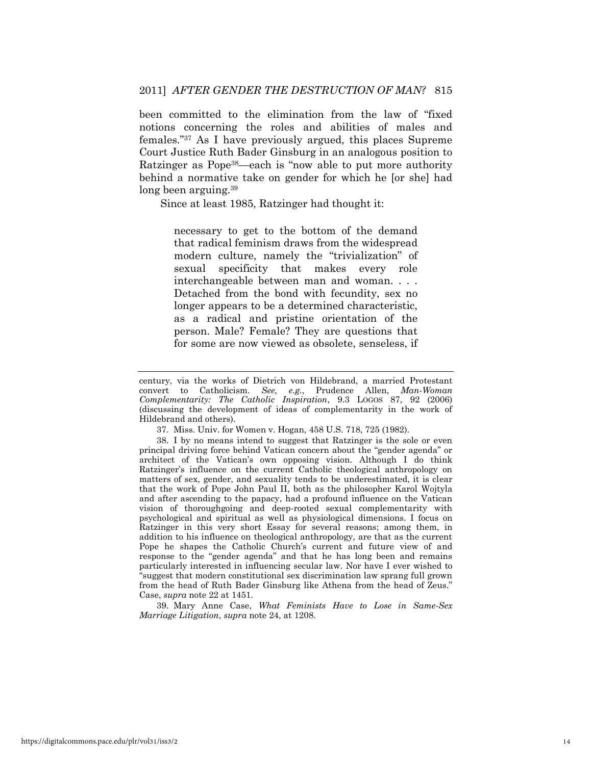been committed to the elimination from the law of "fixed notions concerning the roles and abilities of males and females."<sup>37</sup> As I have previously argued, this places Supreme Court Justice Ruth Bader Ginsburg in an analogous position to Ratzinger as Pope<sup>38</sup>—each is "now able to put more authority behind a normative take on gender for which he [or she] had long been arguing.<sup>39</sup>

Since at least 1985, Ratzinger had thought it:

necessary to get to the bottom of the demand that radical feminism draws from the widespread modern culture, namely the "trivialization" of sexual specificity that makes every role interchangeable between man and woman. . . . Detached from the bond with fecundity, sex no longer appears to be a determined characteristic, as a radical and pristine orientation of the person. Male? Female? They are questions that for some are now viewed as obsolete, senseless, if

39. Mary Anne Case, *What Feminists Have to Lose in Same-Sex Marriage Litigation*, *supra* note 24, at 1208.

century, via the works of Dietrich von Hildebrand, a married Protestant convert to Catholicism. *See, e.g.*, Prudence Allen, *Man-Woman Complementarity: The Catholic Inspiration*, 9.3 LOGOS 87, 92 (2006) (discussing the development of ideas of complementarity in the work of Hildebrand and others).

<sup>37.</sup> Miss. Univ. for Women v. Hogan, 458 U.S. 718, 725 (1982).

<sup>38.</sup> I by no means intend to suggest that Ratzinger is the sole or even principal driving force behind Vatican concern about the "gender agenda" or architect of the Vatican's own opposing vision. Although I do think Ratzinger's influence on the current Catholic theological anthropology on matters of sex, gender, and sexuality tends to be underestimated, it is clear that the work of Pope John Paul II, both as the philosopher Karol Wojtyla and after ascending to the papacy, had a profound influence on the Vatican vision of thoroughgoing and deep-rooted sexual complementarity with psychological and spiritual as well as physiological dimensions. I focus on Ratzinger in this very short Essay for several reasons; among them, in addition to his influence on theological anthropology, are that as the current Pope he shapes the Catholic Church's current and future view of and response to the "gender agenda" and that he has long been and remains particularly interested in influencing secular law. Nor have I ever wished to ―suggest that modern constitutional sex discrimination law sprang full grown from the head of Ruth Bader Ginsburg like Athena from the head of Zeus." Case, *supra* note 22 at 1451.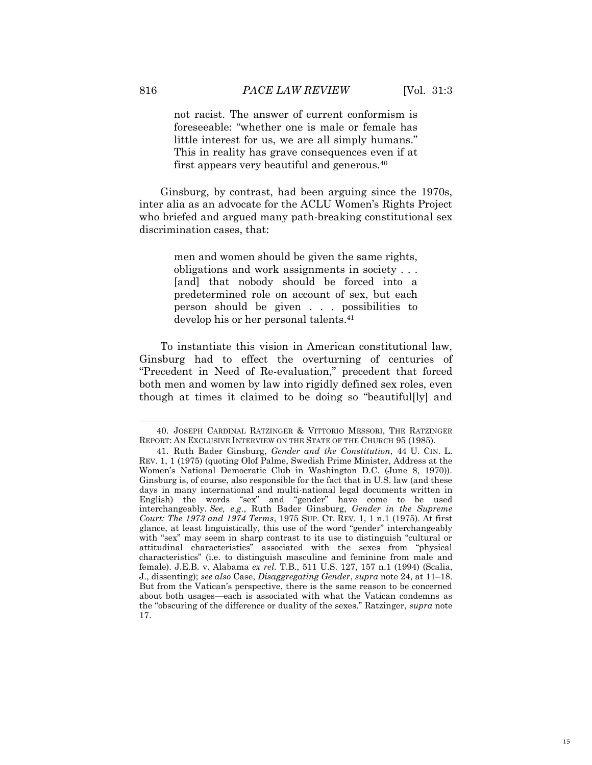not racist. The answer of current conformism is foreseeable: "whether one is male or female has little interest for us, we are all simply humans." This in reality has grave consequences even if at first appears very beautiful and generous.<sup>40</sup>

Ginsburg, by contrast, had been arguing since the 1970s, inter alia as an advocate for the ACLU Women's Rights Project who briefed and argued many path-breaking constitutional sex discrimination cases, that:

> men and women should be given the same rights, obligations and work assignments in society . . . [and] that nobody should be forced into a predetermined role on account of sex, but each person should be given . . . possibilities to develop his or her personal talents.<sup>41</sup>

To instantiate this vision in American constitutional law, Ginsburg had to effect the overturning of centuries of "Precedent in Need of Re-evaluation," precedent that forced both men and women by law into rigidly defined sex roles, even though at times it claimed to be doing so "beautiful[ly] and

<sup>40.</sup> JOSEPH CARDINAL RATZINGER & VITTORIO MESSORI, THE RATZINGER REPORT: AN EXCLUSIVE INTERVIEW ON THE STATE OF THE CHURCH 95 (1985).

<sup>41.</sup> Ruth Bader Ginsburg, *Gender and the Constitution*, 44 U. CIN. L. REV. 1, 1 (1975) (quoting Olof Palme, Swedish Prime Minister, Address at the Women's National Democratic Club in Washington D.C. (June 8, 1970)). Ginsburg is, of course, also responsible for the fact that in U.S. law (and these days in many international and multi-national legal documents written in English) the words "sex" and "gender" have come to be used interchangeably. *See, e.g.*, Ruth Bader Ginsburg, *Gender in the Supreme Court: The 1973 and 1974 Terms*, 1975 SUP. CT. REV. 1, 1 n.1 (1975). At first glance, at least linguistically, this use of the word "gender" interchangeably with "sex" may seem in sharp contrast to its use to distinguish "cultural or attitudinal characteristics" associated with the sexes from "physical characteristics‖ (i.e. to distinguish masculine and feminine from male and female). J.E.B. v. Alabama *ex rel.* T.B., 511 U.S. 127, 157 n.1 (1994) (Scalia, J., dissenting); *see also* Case, *Disaggregating Gender*, *supra* note 24, at 11–18. But from the Vatican's perspective, there is the same reason to be concerned about both usages—each is associated with what the Vatican condemns as the "obscuring of the difference or duality of the sexes." Ratzinger, *supra* note 17.